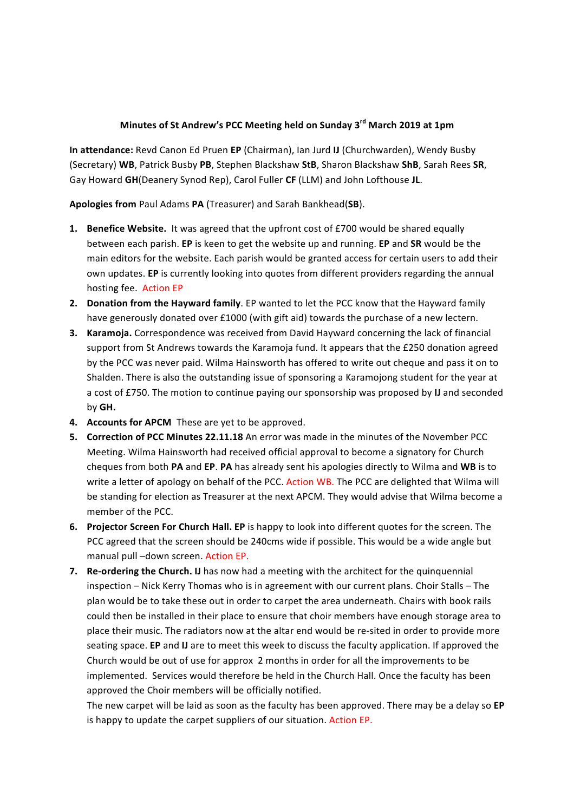## **Minutes of St Andrew's PCC Meeting held on Sunday 3rd March 2019 at 1pm**

**In attendance:** Revd Canon Ed Pruen EP (Chairman), Ian Jurd IJ (Churchwarden), Wendy Busby (Secretary) **WB**, Patrick Busby **PB**, Stephen Blackshaw **StB**, Sharon Blackshaw **ShB**, Sarah Rees **SR**, Gay Howard GH(Deanery Synod Rep), Carol Fuller CF (LLM) and John Lofthouse JL.

Apologies from Paul Adams PA (Treasurer) and Sarah Bankhead(SB).

- **1.** Benefice Website. It was agreed that the upfront cost of £700 would be shared equally between each parish. **EP** is keen to get the website up and running. **EP** and **SR** would be the main editors for the website. Each parish would be granted access for certain users to add their own updates. **EP** is currently looking into quotes from different providers regarding the annual hosting fee. Action EP
- **2.** Donation from the Hayward family. EP wanted to let the PCC know that the Hayward family have generously donated over £1000 (with gift aid) towards the purchase of a new lectern.
- **3. Karamoja.** Correspondence was received from David Hayward concerning the lack of financial support from St Andrews towards the Karamoja fund. It appears that the £250 donation agreed by the PCC was never paid. Wilma Hainsworth has offered to write out cheque and pass it on to Shalden. There is also the outstanding issue of sponsoring a Karamojong student for the year at a cost of £750. The motion to continue paying our sponsorship was proposed by IJ and seconded by **GH.**
- **4.** Accounts for APCM These are yet to be approved.
- **5.** Correction of PCC Minutes 22.11.18 An error was made in the minutes of the November PCC Meeting. Wilma Hainsworth had received official approval to become a signatory for Church cheques from both **PA** and **EP.** PA has already sent his apologies directly to Wilma and WB is to write a letter of apology on behalf of the PCC. Action WB. The PCC are delighted that Wilma will be standing for election as Treasurer at the next APCM. They would advise that Wilma become a member of the PCC.
- **6.** Projector Screen For Church Hall. EP is happy to look into different quotes for the screen. The PCC agreed that the screen should be 240cms wide if possible. This would be a wide angle but manual pull -down screen. Action EP.
- **7.** Re-ordering the Church. IJ has now had a meeting with the architect for the quinquennial inspection - Nick Kerry Thomas who is in agreement with our current plans. Choir Stalls - The plan would be to take these out in order to carpet the area underneath. Chairs with book rails could then be installed in their place to ensure that choir members have enough storage area to place their music. The radiators now at the altar end would be re-sited in order to provide more seating space. **EP** and **IJ** are to meet this week to discuss the faculty application. If approved the Church would be out of use for approx 2 months in order for all the improvements to be implemented. Services would therefore be held in the Church Hall. Once the faculty has been approved the Choir members will be officially notified.

The new carpet will be laid as soon as the faculty has been approved. There may be a delay so EP is happy to update the carpet suppliers of our situation. Action EP.